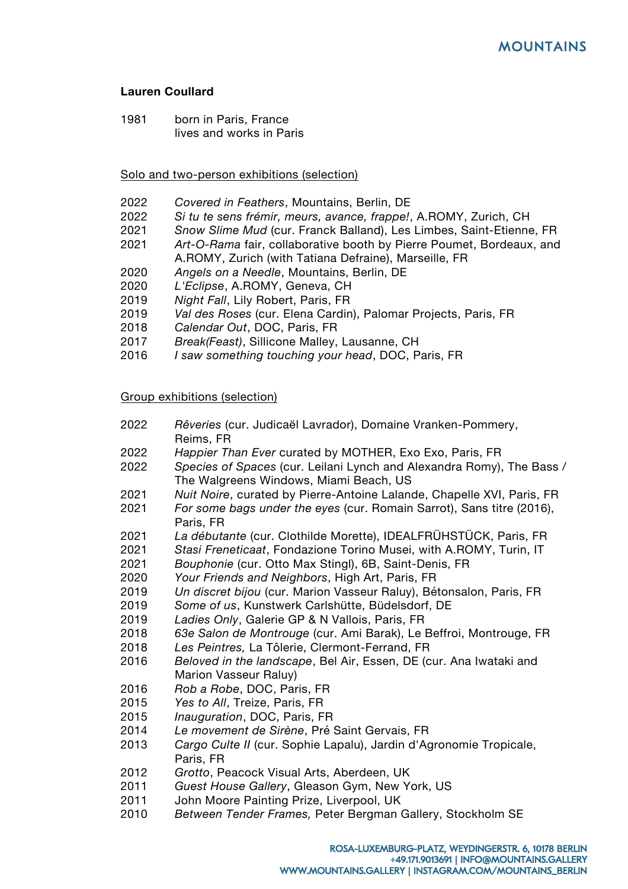# **Lauren Coullard**

 born in Paris, France lives and works in Paris

### Solo and two-person exhibitions (selection)

- *Covered in Feathers*, Mountains, Berlin, DE
- *Si tu te sens frémir, meurs, avance, frappe!*, A.ROMY, Zurich, CH
- *Snow Slime Mud* (cur. Franck Balland), Les Limbes, Saint-Etienne, FR
- *Art-O-Rama* fair, collaborative booth by Pierre Poumet, Bordeaux, and A.ROMY, Zurich (with Tatiana Defraine), Marseille, FR
- *Angels on a Needle*, Mountains, Berlin, DE
- *L'Eclipse*, A.ROMY, Geneva, CH
- *Night Fall*, Lily Robert, Paris, FR
- *Val des Roses* (cur. Elena Cardin), Palomar Projects, Paris, FR
- *Calendar Out*, DOC, Paris, FR
- *Break(Feast)*, Sillicone Malley, Lausanne, CH
- *I saw something touching your head*, DOC, Paris, FR

#### Group exhibitions (selection)

- *Rêveries* (cur. Judicaël Lavrador), Domaine Vranken-Pommery, Reims, FR
- *Happier Than Ever* curated by MOTHER, Exo Exo, Paris, FR
- *Species of Spaces* (cur. Leilani Lynch and Alexandra Romy), The Bass / The Walgreens Windows, Miami Beach, US
- *Nuit Noire*, curated by Pierre-Antoine Lalande, Chapelle XVI, Paris, FR
- *For some bags under the eyes* (cur. Romain Sarrot), Sans titre (2016), Paris, FR
- *La débutante* (cur. Clothilde Morette), IDEALFRÜHSTÜCK, Paris, FR
- *Stasi Freneticaat*, Fondazione Torino Musei, with A.ROMY, Turin, IT
- *Bouphonie* (cur. Otto Max Stingl), 6B, Saint-Denis, FR
- *Your Friends and Neighbors*, High Art, Paris, FR
- *Un discret bijou* (cur. Marion Vasseur Raluy), Bétonsalon, Paris, FR
- *Some of us*, Kunstwerk Carlshütte, Büdelsdorf, DE
- *Ladies Only*, Galerie GP & N Vallois, Paris, FR
- *63e Salon de Montrouge* (cur. Ami Barak), Le Beffroi, Montrouge, FR
- *Les Peintres,* La Tôlerie, Clermont-Ferrand, FR
- *Beloved in the landscape*, Bel Air, Essen, DE (cur. Ana Iwataki and Marion Vasseur Raluy)
- *Rob a Robe*, DOC, Paris, FR
- *Yes to All*, Treize, Paris, FR
- *Inauguration*, DOC, Paris, FR
- *Le movement de Sirène*, Pré Saint Gervais, FR
- *Cargo Culte II* (cur. Sophie Lapalu), Jardin d'Agronomie Tropicale, Paris, FR
- *Grotto*, Peacock Visual Arts, Aberdeen, UK
- *Guest House Gallery*, Gleason Gym, New York, US
- John Moore Painting Prize, Liverpool, UK
- *Between Tender Frames,* Peter Bergman Gallery, Stockholm SE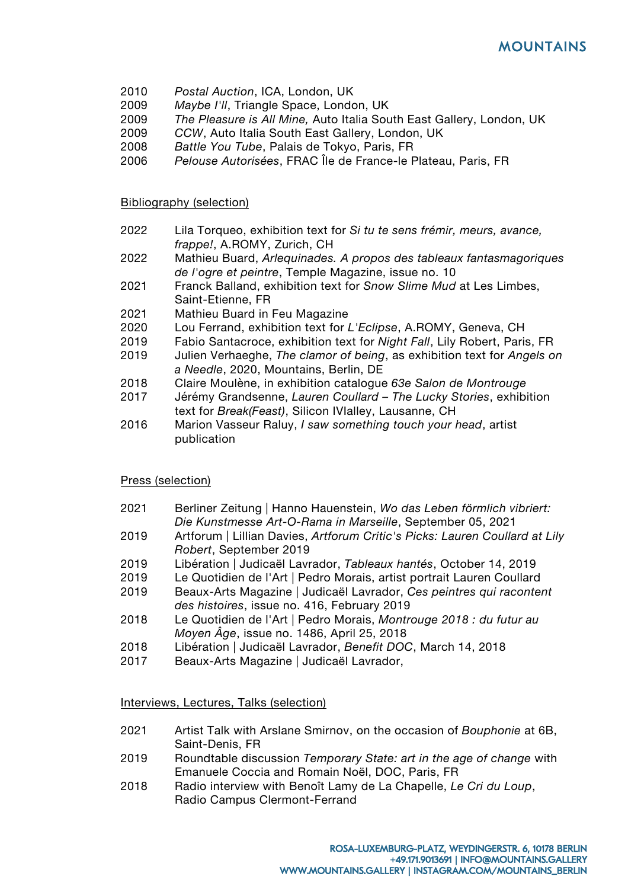- 2010 *Postal Auction*, ICA, London, UK
- 2009 *Maybe I'll*, Triangle Space, London, UK
- 2009 *The Pleasure is All Mine,* Auto Italia South East Gallery, London, UK
- 2009 *CCW*, Auto Italia South East Gallery, London, UK
- 2008 *Battle You Tube*, Palais de Tokyo, Paris, FR
- 2006 *Pelouse Autorisées*, FRAC Île de France-le Plateau, Paris, FR

Bibliography (selection)

- 2022 Lila Torqueo, exhibition text for *Si tu te sens frémir, meurs, avance, frappe!*, A.ROMY, Zurich, CH
- 2022 Mathieu Buard, *Arlequinades. A propos des tableaux fantasmagoriques de l'ogre et peintre*, Temple Magazine, issue no. 10
- 2021 Franck Balland, exhibition text for *Snow Slime Mud* at Les Limbes, Saint-Etienne, FR
- 2021 Mathieu Buard in Feu Magazine
- 2020 Lou Ferrand, exhibition text for *L'Eclipse*, A.ROMY, Geneva, CH
- 2019 Fabio Santacroce, exhibition text for *Night Fall*, Lily Robert, Paris, FR
- 2019 Julien Verhaeghe, *The clamor of being*, as exhibition text for *Angels on a Needle*, 2020, Mountains, Berlin, DE
- 2018 Claire Moulène, in exhibition catalogue *63e Salon de Montrouge*
- 2017 Jérémy Grandsenne, *Lauren Coullard – The Lucky Stories*, exhibition text for *Break(Feast)*, Silicon IVIalley, Lausanne, CH
- 2016 Marion Vasseur Raluy, *I saw something touch your head*, artist publication

# Press (selection)

- 2021 Berliner Zeitung | Hanno Hauenstein, *Wo das Leben förmlich vibriert: Die Kunstmesse Art-O-Rama in Marseille*, September 05, 2021
- 2019 Artforum | Lillian Davies, *Artforum Critic's Picks: Lauren Coullard at Lily Robert*, September 2019
- 2019 Libération | Judicaël Lavrador, *Tableaux hantés*, October 14, 2019
- 2019 Le Quotidien de l'Art | Pedro Morais, artist portrait Lauren Coullard
- 2019 Beaux-Arts Magazine | Judicaël Lavrador, *Ces peintres qui racontent des histoires*, issue no. 416, February 2019
- 2018 Le Quotidien de l'Art | Pedro Morais, *Montrouge 2018 : du futur au Moyen Âge*, issue no. 1486, April 25, 2018
- 2018 Libération | Judicaël Lavrador, *Benefit DOC*, March 14, 2018
- 2017 Beaux-Arts Magazine | Judicaël Lavrador,

### Interviews, Lectures, Talks (selection)

- 2021 Artist Talk with Arslane Smirnov, on the occasion of *Bouphonie* at 6B, Saint-Denis, FR
- 2019 Roundtable discussion *Temporary State: art in the age of change* with Emanuele Coccia and Romain Noël, DOC, Paris, FR
- 2018 Radio interview with Benoît Lamy de La Chapelle, *Le Cri du Loup*, Radio Campus Clermont-Ferrand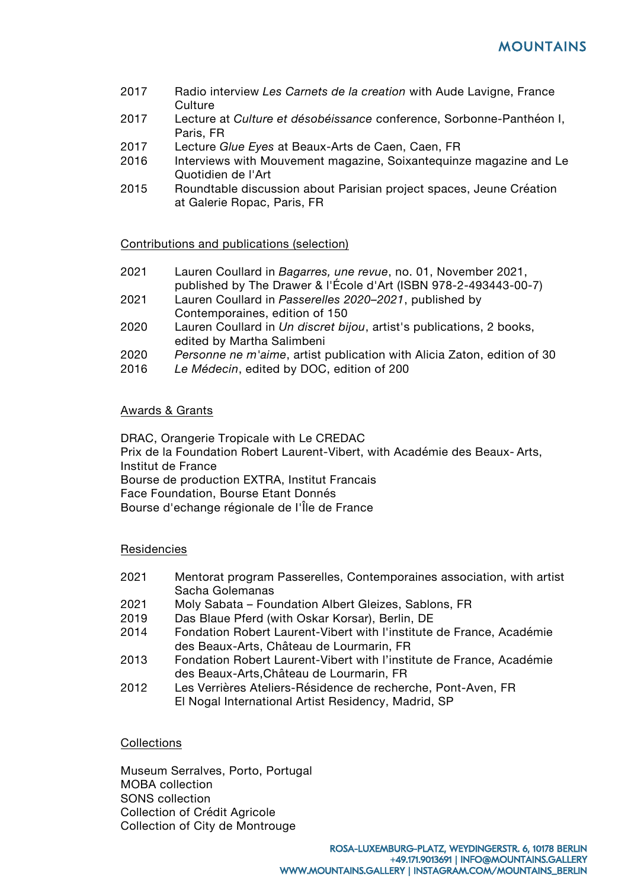- 2017 Radio interview *Les Carnets de la creation* with Aude Lavigne, France Culture
- 2017 Lecture at *Culture et désobéissance* conference, Sorbonne-Panthéon I, Paris, FR
- 2017 Lecture *Glue Eyes* at Beaux-Arts de Caen, Caen, FR
- 2016 Interviews with Mouvement magazine, Soixantequinze magazine and Le Quotidien de l'Art
- 2015 Roundtable discussion about Parisian project spaces, Jeune Création at Galerie Ropac, Paris, FR

### Contributions and publications (selection)

- 2021 Lauren Coullard in *Bagarres, une revue*, no. 01, November 2021, published by The Drawer & l'École d'Art (ISBN 978-2-493443-00-7)
- 2021 Lauren Coullard in *Passerelles 2020–2021*, published by Contemporaines, edition of 150
- 2020 Lauren Coullard in *Un discret bijou*, artist's publications, 2 books, edited by Martha Salimbeni
- 2020 *Personne ne m'aime*, artist publication with Alicia Zaton, edition of 30
- 2016 *Le Médecin*, edited by DOC, edition of 200

### Awards & Grants

DRAC, Orangerie Tropicale with Le CREDAC Prix de la Foundation Robert Laurent-Vibert, with Académie des Beaux- Arts, Institut de France Bourse de production EXTRA, Institut Francais Face Foundation, Bourse Etant Donnés Bourse d'echange régionale de I'Île de France

### **Residencies**

- 2021 Mentorat program Passerelles, Contemporaines association, with artist Sacha Golemanas
- 2021 Moly Sabata Foundation Albert Gleizes, Sablons, FR
- 2019 Das Blaue Pferd (with Oskar Korsar), Berlin, DE
- 2014 Fondation Robert Laurent-Vibert with l'institute de France, Académie des Beaux-Arts, Château de Lourmarin, FR
- 2013 Fondation Robert Laurent-Vibert with l'institute de France, Académie des Beaux-Arts,Château de Lourmarin, FR
- 2012 Les Verrières Ateliers-Résidence de recherche, Pont-Aven, FR El Nogal International Artist Residency, Madrid, SP

### **Collections**

Museum Serralves, Porto, Portugal MOBA collection SONS collection Collection of Crédit Agricole Collection of City de Montrouge